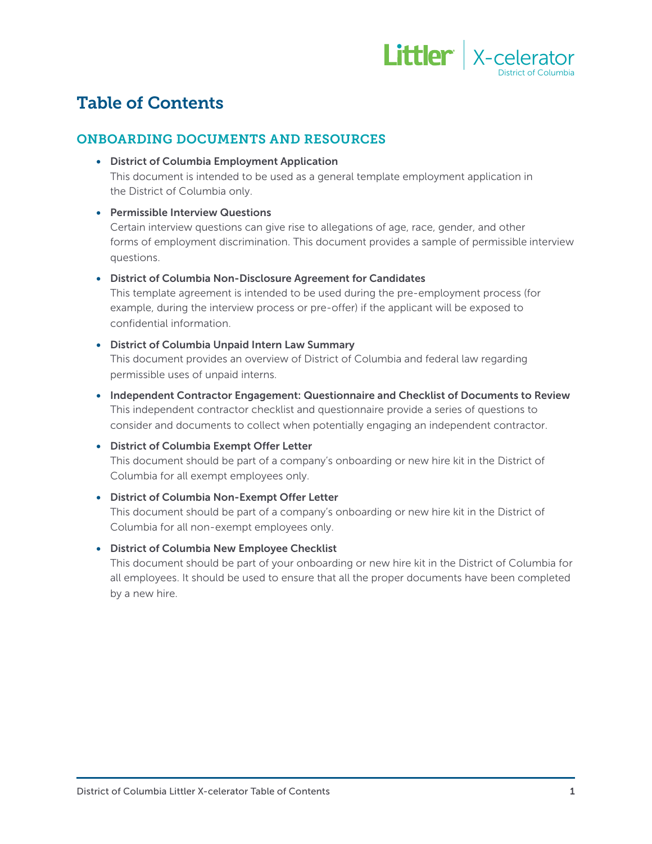

# Table of Contents

### ONBOARDING DOCUMENTS AND RESOURCES

• District of Columbia Employment Application

This document is intended to be used as a general template employment application in the District of Columbia only.

#### • Permissible Interview Questions

Certain interview questions can give rise to allegations of age, race, gender, and other forms of employment discrimination. This document provides a sample of permissible interview questions.

#### • District of Columbia Non-Disclosure Agreement for Candidates

This template agreement is intended to be used during the pre-employment process (for example, during the interview process or pre-offer) if the applicant will be exposed to confidential information.

#### • District of Columbia Unpaid Intern Law Summary

This document provides an overview of District of Columbia and federal law regarding permissible uses of unpaid interns.

• Independent Contractor Engagement: Questionnaire and Checklist of Documents to Review This independent contractor checklist and questionnaire provide a series of questions to consider and documents to collect when potentially engaging an independent contractor.

#### • District of Columbia Exempt Offer Letter

This document should be part of a company's onboarding or new hire kit in the District of Columbia for all exempt employees only.

#### • District of Columbia Non-Exempt Offer Letter

This document should be part of a company's onboarding or new hire kit in the District of Columbia for all non-exempt employees only.

#### • District of Columbia New Employee Checklist

This document should be part of your onboarding or new hire kit in the District of Columbia for all employees. It should be used to ensure that all the proper documents have been completed by a new hire.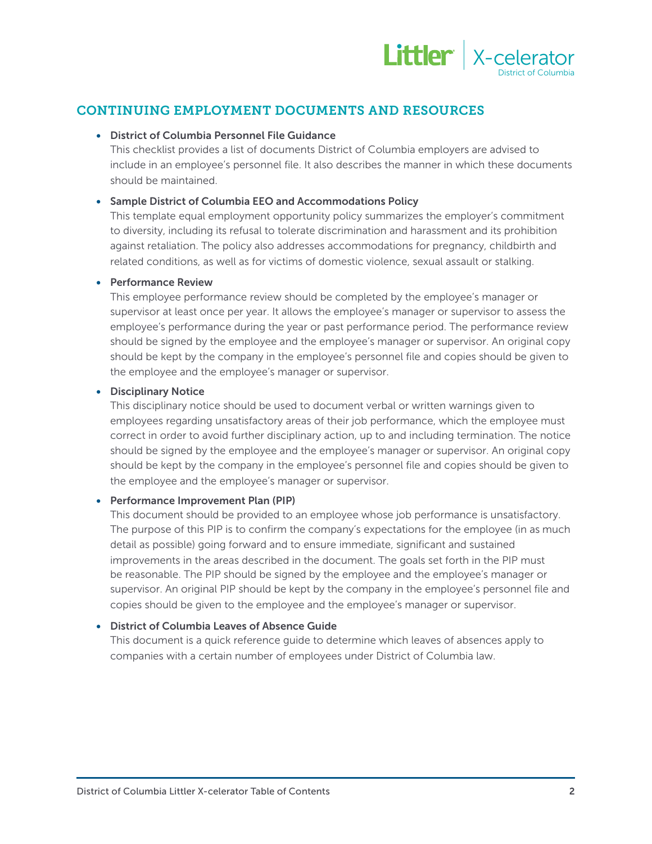

# CONTINUING EMPLOYMENT DOCUMENTS AND RESOURCES

#### • District of Columbia Personnel File Guidance

This checklist provides a list of documents District of Columbia employers are advised to include in an employee's personnel file. It also describes the manner in which these documents should be maintained.

#### • Sample District of Columbia EEO and Accommodations Policy

This template equal employment opportunity policy summarizes the employer's commitment to diversity, including its refusal to tolerate discrimination and harassment and its prohibition against retaliation. The policy also addresses accommodations for pregnancy, childbirth and related conditions, as well as for victims of domestic violence, sexual assault or stalking.

#### • Performance Review

This employee performance review should be completed by the employee's manager or supervisor at least once per year. It allows the employee's manager or supervisor to assess the employee's performance during the year or past performance period. The performance review should be signed by the employee and the employee's manager or supervisor. An original copy should be kept by the company in the employee's personnel file and copies should be given to the employee and the employee's manager or supervisor.

#### • Disciplinary Notice

This disciplinary notice should be used to document verbal or written warnings given to employees regarding unsatisfactory areas of their job performance, which the employee must correct in order to avoid further disciplinary action, up to and including termination. The notice should be signed by the employee and the employee's manager or supervisor. An original copy should be kept by the company in the employee's personnel file and copies should be given to the employee and the employee's manager or supervisor.

#### • Performance Improvement Plan (PIP)

This document should be provided to an employee whose job performance is unsatisfactory. The purpose of this PIP is to confirm the company's expectations for the employee (in as much detail as possible) going forward and to ensure immediate, significant and sustained improvements in the areas described in the document. The goals set forth in the PIP must be reasonable. The PIP should be signed by the employee and the employee's manager or supervisor. An original PIP should be kept by the company in the employee's personnel file and copies should be given to the employee and the employee's manager or supervisor.

#### • District of Columbia Leaves of Absence Guide

This document is a quick reference guide to determine which leaves of absences apply to companies with a certain number of employees under District of Columbia law.